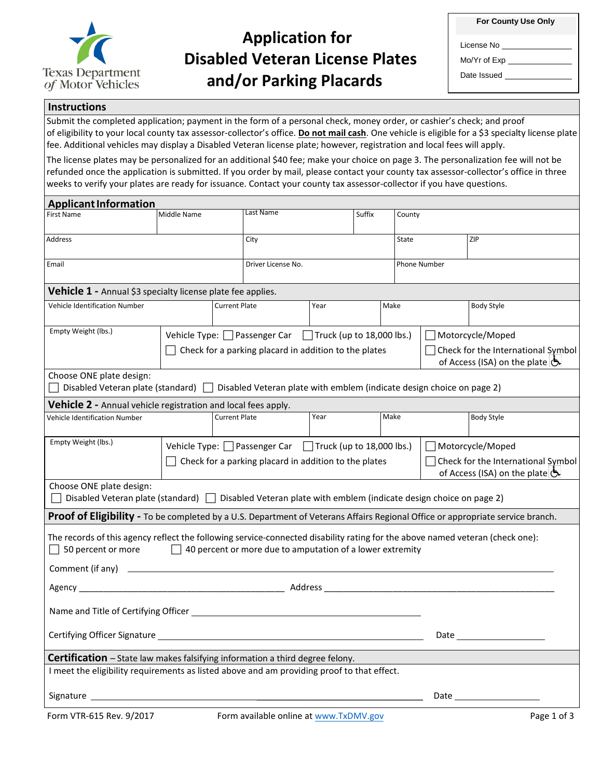

## **Application for Disabled Veteran License Plates and/or Parking Placards**

| For County Use Only |  |
|---------------------|--|
|---------------------|--|

 $\overline{a}$ 

License No

Mo/Yr of Exp

Date Issued

## **Instructions**

 of eligibility to your local county tax assessor-collector's office. **Do not mail cash**. One vehicle is eligible for a \$3 specialty license plate fee. Additional vehicles may display a Disabled Veteran license plate; however, registration and local fees will apply. Submit the completed application; payment in the form of a personal check, money order, or cashier's check; and proof

The license plates may be personalized for an additional \$40 fee; make your choice on page 3. The personalization fee will not be refunded once the application is submitted. If you order by mail, please contact your county tax assessor-collector's office in three weeks to verify your plates are ready for issuance. Contact your county tax assessor-collector if you have questions.

| <b>Applicant Information</b>                                                                                                                        |                                                                                                                              |                      |                                                           |        |              |                                                                                          |  |                                                                                                                                                                                                                                |
|-----------------------------------------------------------------------------------------------------------------------------------------------------|------------------------------------------------------------------------------------------------------------------------------|----------------------|-----------------------------------------------------------|--------|--------------|------------------------------------------------------------------------------------------|--|--------------------------------------------------------------------------------------------------------------------------------------------------------------------------------------------------------------------------------|
| <b>First Name</b>                                                                                                                                   | Middle Name                                                                                                                  | Last Name            |                                                           | Suffix |              | County                                                                                   |  |                                                                                                                                                                                                                                |
| Address                                                                                                                                             |                                                                                                                              | City                 |                                                           | State  |              | ZIP                                                                                      |  |                                                                                                                                                                                                                                |
| Email                                                                                                                                               | Driver License No.                                                                                                           |                      |                                                           |        | Phone Number |                                                                                          |  |                                                                                                                                                                                                                                |
| <b>Vehicle 1 - Annual \$3 specialty license plate fee applies.</b>                                                                                  |                                                                                                                              |                      |                                                           |        |              |                                                                                          |  |                                                                                                                                                                                                                                |
| Vehicle Identification Number                                                                                                                       |                                                                                                                              | <b>Current Plate</b> |                                                           | Year   |              | Make                                                                                     |  | <b>Body Style</b>                                                                                                                                                                                                              |
| Empty Weight (lbs.)                                                                                                                                 | Vehicle Type: $\Box$ Passenger Car $\Box$ Truck (up to 18,000 lbs.)<br>Check for a parking placard in addition to the plates |                      |                                                           |        |              | Motorcycle/Moped<br>Check for the International Symbol<br>of Access (ISA) on the plate & |  |                                                                                                                                                                                                                                |
| Choose ONE plate design:<br>Disabled Veteran plate (standard) $\Box$ Disabled Veteran plate with emblem (indicate design choice on page 2)          |                                                                                                                              |                      |                                                           |        |              |                                                                                          |  |                                                                                                                                                                                                                                |
| Vehicle 2 - Annual vehicle registration and local fees apply.                                                                                       |                                                                                                                              |                      |                                                           |        |              |                                                                                          |  |                                                                                                                                                                                                                                |
| <b>Vehicle Identification Number</b>                                                                                                                |                                                                                                                              | <b>Current Plate</b> |                                                           | Year   |              | Make                                                                                     |  | <b>Body Style</b>                                                                                                                                                                                                              |
| Empty Weight (lbs.)                                                                                                                                 | Vehicle Type: Passenger Car Truck (up to 18,000 lbs.)<br>Check for a parking placard in addition to the plates               |                      |                                                           |        |              | Motorcycle/Moped<br>Check for the International Symbol<br>of Access (ISA) on the plate   |  |                                                                                                                                                                                                                                |
| Choose ONE plate design:<br>Disabled Veteran plate (standard)   Disabled Veteran plate with emblem (indicate design choice on page 2)               |                                                                                                                              |                      |                                                           |        |              |                                                                                          |  |                                                                                                                                                                                                                                |
| <b>Proof of Eligibility</b> - To be completed by a U.S. Department of Veterans Affairs Regional Office or appropriate service branch.               |                                                                                                                              |                      |                                                           |        |              |                                                                                          |  |                                                                                                                                                                                                                                |
| The records of this agency reflect the following service-connected disability rating for the above named veteran (check one):<br>50 percent or more | $\perp$                                                                                                                      |                      | 40 percent or more due to amputation of a lower extremity |        |              |                                                                                          |  |                                                                                                                                                                                                                                |
|                                                                                                                                                     |                                                                                                                              |                      |                                                           |        |              |                                                                                          |  |                                                                                                                                                                                                                                |
|                                                                                                                                                     |                                                                                                                              |                      |                                                           |        |              |                                                                                          |  |                                                                                                                                                                                                                                |
| Certifying Officer Signature                                                                                                                        |                                                                                                                              |                      |                                                           |        |              | Date                                                                                     |  |                                                                                                                                                                                                                                |
| Certification - State law makes falsifying information a third degree felony.                                                                       |                                                                                                                              |                      |                                                           |        |              |                                                                                          |  |                                                                                                                                                                                                                                |
| I meet the eligibility requirements as listed above and am providing proof to that effect.                                                          |                                                                                                                              |                      |                                                           |        |              |                                                                                          |  |                                                                                                                                                                                                                                |
|                                                                                                                                                     |                                                                                                                              |                      |                                                           |        |              |                                                                                          |  | Date and the second second second second second second second second second second second second second second second second second second second second second second second second second second second second second second |
| Form VTR-615 Rev. 9/2017                                                                                                                            |                                                                                                                              |                      | Form available online at www.TxDMV.gov                    |        |              |                                                                                          |  | Page 1 of 3                                                                                                                                                                                                                    |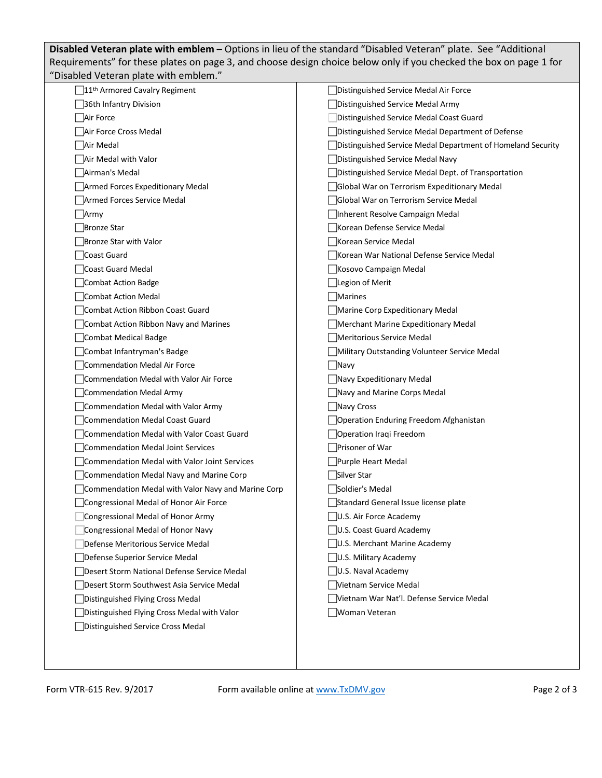**Disabled Veteran plate with emblem –** Options in lieu of the standard "Disabled Veteran" plate. See "Additional Requirements" for these plates on page 3, and choose design choice below only if you checked the box on page 1 for "Disabled Veteran plate with emblem."

| 11 <sup>th</sup> Armored Cavalry Regiment          | Distinguished Service Medal Air Force                       |
|----------------------------------------------------|-------------------------------------------------------------|
| 36th Infantry Division                             | Distinguished Service Medal Army                            |
| Air Force                                          | Distinguished Service Medal Coast Guard                     |
| Air Force Cross Medal                              | Distinguished Service Medal Department of Defense           |
| Air Medal                                          | Distinguished Service Medal Department of Homeland Security |
| Air Medal with Valor                               | Distinguished Service Medal Navy                            |
| Airman's Medal                                     | Distinguished Service Medal Dept. of Transportation         |
| Armed Forces Expeditionary Medal                   | Global War on Terrorism Expeditionary Medal                 |
| Armed Forces Service Medal                         | Global War on Terrorism Service Medal                       |
| Army                                               | Inherent Resolve Campaign Medal                             |
| Bronze Star                                        | Korean Defense Service Medal                                |
| Bronze Star with Valor                             | Korean Service Medal                                        |
| Coast Guard                                        | Korean War National Defense Service Medal                   |
| Coast Guard Medal                                  | Kosovo Campaign Medal                                       |
| Combat Action Badge                                | Legion of Merit                                             |
| Combat Action Medal                                | Marines                                                     |
| Combat Action Ribbon Coast Guard                   | Marine Corp Expeditionary Medal                             |
| Combat Action Ribbon Navy and Marines              | Merchant Marine Expeditionary Medal                         |
| Combat Medical Badge                               | Meritorious Service Medal                                   |
| Combat Infantryman's Badge                         | Military Outstanding Volunteer Service Medal                |
| Commendation Medal Air Force                       | Navy                                                        |
| Commendation Medal with Valor Air Force            | Navy Expeditionary Medal                                    |
| Commendation Medal Army                            | Navy and Marine Corps Medal                                 |
| Commendation Medal with Valor Army                 | Navy Cross                                                  |
| Commendation Medal Coast Guard                     | Operation Enduring Freedom Afghanistan                      |
| Commendation Medal with Valor Coast Guard          | Operation Iraqi Freedom                                     |
| Commendation Medal Joint Services                  | Prisoner of War                                             |
| Commendation Medal with Valor Joint Services       | Purple Heart Medal                                          |
| Commendation Medal Navy and Marine Corp            | Silver Star                                                 |
| Commendation Medal with Valor Navy and Marine Corp | Soldier's Medal                                             |
| Congressional Medal of Honor Air Force             | Standard General Issue license plate                        |
| Congressional Medal of Honor Army                  | U.S. Air Force Academy                                      |
| Congressional Medal of Honor Navy                  | U.S. Coast Guard Academy                                    |
| Defense Meritorious Service Medal                  | U.S. Merchant Marine Academy                                |
| Defense Superior Service Medal                     | U.S. Military Academy                                       |
| Desert Storm National Defense Service Medal        | U.S. Naval Academy                                          |
| Desert Storm Southwest Asia Service Medal          | Vietnam Service Medal                                       |
| Distinguished Flying Cross Medal                   | Vietnam War Nat'l. Defense Service Medal                    |
| Distinguished Flying Cross Medal with Valor        | Woman Veteran                                               |
| Distinguished Service Cross Medal                  |                                                             |
|                                                    |                                                             |
|                                                    |                                                             |